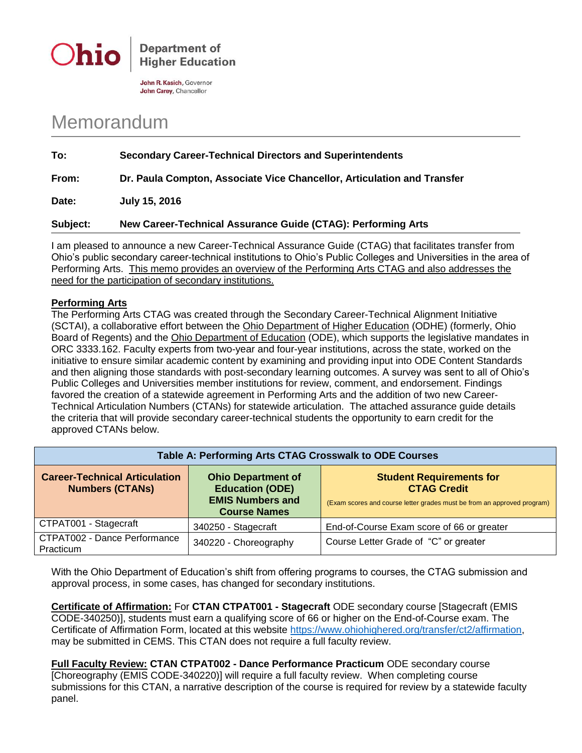



John R. Kasich, Governor John Carey, Chancellor

## Memorandum

| To:   | <b>Secondary Career-Technical Directors and Superintendents</b>         |
|-------|-------------------------------------------------------------------------|
| From: | Dr. Paula Compton, Associate Vice Chancellor, Articulation and Transfer |

**Date: July 15, 2016**

## **Subject: New Career-Technical Assurance Guide (CTAG): Performing Arts**

I am pleased to announce a new Career-Technical Assurance Guide (CTAG) that facilitates transfer from Ohio's public secondary career-technical institutions to Ohio's Public Colleges and Universities in the area of Performing Arts. This memo provides an overview of the Performing Arts CTAG and also addresses the need for the participation of secondary institutions.

## **Performing Arts**

The Performing Arts CTAG was created through the Secondary Career-Technical Alignment Initiative (SCTAI), a collaborative effort between the Ohio Department of Higher Education (ODHE) (formerly, Ohio Board of Regents) and the Ohio Department of Education (ODE), which supports the legislative mandates in ORC 3333.162. Faculty experts from two-year and four-year institutions, across the state, worked on the initiative to ensure similar academic content by examining and providing input into ODE Content Standards and then aligning those standards with post-secondary learning outcomes. A survey was sent to all of Ohio's Public Colleges and Universities member institutions for review, comment, and endorsement. Findings favored the creation of a statewide agreement in Performing Arts and the addition of two new Career-Technical Articulation Numbers (CTANs) for statewide articulation. The attached assurance guide details the criteria that will provide secondary career-technical students the opportunity to earn credit for the approved CTANs below.

| Table A: Performing Arts CTAG Crosswalk to ODE Courses         |                                                                                                       |                                                                                                                                  |  |
|----------------------------------------------------------------|-------------------------------------------------------------------------------------------------------|----------------------------------------------------------------------------------------------------------------------------------|--|
| <b>Career-Technical Articulation</b><br><b>Numbers (CTANs)</b> | <b>Ohio Department of</b><br><b>Education (ODE)</b><br><b>EMIS Numbers and</b><br><b>Course Names</b> | <b>Student Requirements for</b><br><b>CTAG Credit</b><br>(Exam scores and course letter grades must be from an approved program) |  |
| CTPAT001 - Stagecraft                                          | 340250 - Stagecraft                                                                                   | End-of-Course Exam score of 66 or greater                                                                                        |  |
| CTPAT002 - Dance Performance<br>Practicum                      | 340220 - Choreography                                                                                 | Course Letter Grade of "C" or greater                                                                                            |  |

With the Ohio Department of Education's shift from offering programs to courses, the CTAG submission and approval process, in some cases, has changed for secondary institutions.

**Certificate of Affirmation:** For **CTAN CTPAT001 - Stagecraft** ODE secondary course [Stagecraft (EMIS CODE-340250)], students must earn a qualifying score of 66 or higher on the End-of-Course exam. The Certificate of Affirmation Form, located at this website [https://www.ohiohighered.org/transfer/ct2/affirmation,](https://www.ohiohighered.org/transfer/ct2/affirmation) may be submitted in CEMS. This CTAN does not require a full faculty review.

**Full Faculty Review: CTAN CTPAT002 - Dance Performance Practicum** ODE secondary course [Choreography (EMIS CODE-340220)] will require a full faculty review. When completing course submissions for this CTAN, a narrative description of the course is required for review by a statewide faculty panel.